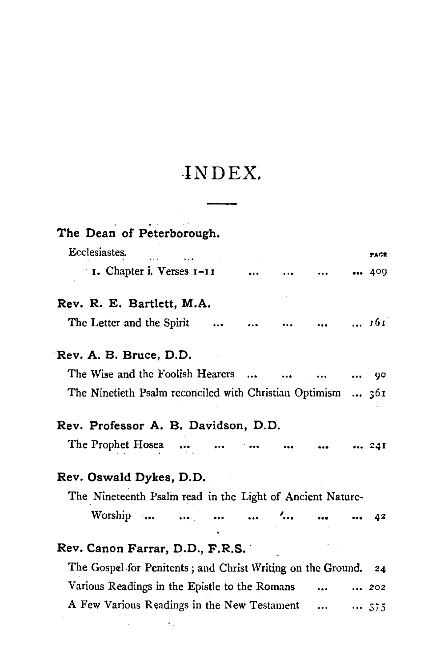## **-INDEX.**

| The Dean of Peterborough.                                      |      |
|----------------------------------------------------------------|------|
| Ecclesiastes.                                                  | PAGR |
| 1. Chapter i. Verses 1-11                                      | 409  |
| Rev. R. E. Bartlett, M.A.                                      |      |
| The Letter and the Spirit       161                            |      |
| Rev. A. B. Bruce, D.D.                                         |      |
| The Wise and the Foolish Hearers                               | 90   |
| The Ninetieth Psalm reconciled with Christian Optimism  361    |      |
| Rev. Professor A. B. Davidson, D.D.                            |      |
| The Prophet Hosea<br>$\cdots$                                  | 24I  |
| Rev. Oswald Dykes, D.D.                                        |      |
| The Nineteenth Psalm read in the Light of Ancient Nature-      |      |
| Worship                                                        | -42  |
| Rev. Canon Farrar, D.D., F.R.S.                                |      |
| The Gospel for Penitents; and Christ Writing on the Ground. 24 |      |
| Various Readings in the Epistle to the Romans                  | 202  |
| A Few Various Readings in the New Testament                    | 375  |
| the control of the state of the con-                           |      |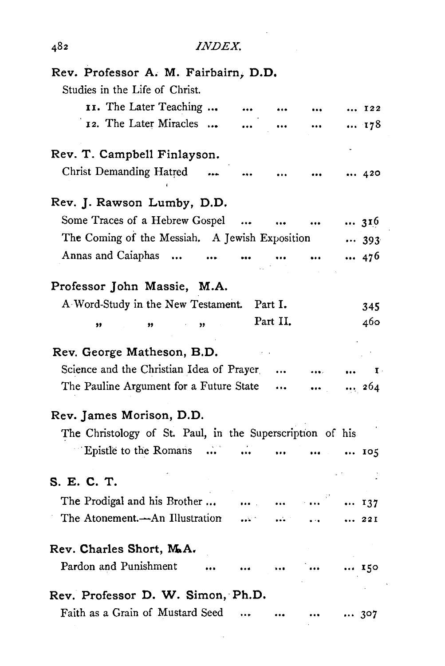| Rev. Professor A. M. Fairbairn, D.D.                      |                                  |           |          |              |
|-----------------------------------------------------------|----------------------------------|-----------|----------|--------------|
| Studies in the Life of Christ.                            |                                  |           |          |              |
| II. The Later Teaching                                    |                                  |           |          | $\cdots$ I22 |
| 12. The Later Miracles                                    |                                  |           |          | 178          |
|                                                           |                                  |           |          |              |
| Rev. T. Campbell Finlayson.                               |                                  |           |          |              |
| Christ Demanding Hatred                                   |                                  |           |          | 420          |
| Rev. J. Rawson Lumby, D.D.                                |                                  |           |          |              |
| Some Traces of a Hebrew Gospel                            | $\ddotsc$                        |           |          | 316          |
| The Coming of the Messiah. A Jewish Exposition            |                                  |           |          | 393          |
| Annas and Caiaphas                                        | $\cdots$<br>$\ddot{\phantom{0}}$ |           |          | 476          |
|                                                           |                                  |           |          |              |
| Professor John Massie, M.A.                               |                                  |           |          |              |
| A Word-Study in the New Testament.                        |                                  | Part I.   |          | 345          |
| ,,<br>,,                                                  |                                  | Part II.  |          | 460          |
|                                                           |                                  |           |          |              |
| Rev. George Matheson, B.D.                                |                                  |           |          |              |
| Science and the Christian Idea of Prayer                  |                                  | $\cdots$  |          | I            |
| The Pauline Argument for a Future State                   |                                  |           |          | 264          |
| Rev. James Morison, D.D.                                  |                                  |           |          |              |
| The Christology of St. Paul, in the Superscription of his |                                  |           |          |              |
| Epistle to the Romans<br>.                                |                                  | $\ddotsc$ | $\cdots$ | 105          |
|                                                           |                                  |           |          |              |
| S. E. C. T.                                               |                                  |           |          |              |
| The Prodigal and his Brother                              |                                  |           |          | 137          |
| The Atonement.—An Illustration                            |                                  |           |          | 221          |
| Rev. Charles Short, M.A.                                  |                                  |           |          |              |
| Pardon and Punishment                                     |                                  |           |          | 150          |
| Rev. Professor D. W. Simon, Ph.D.                         |                                  |           |          |              |
| Faith as a Grain of Mustard Seed                          |                                  |           |          | 307          |

l,

l,

 $\ddot{\phantom{0}}$ 

*INDEX.* 

## 482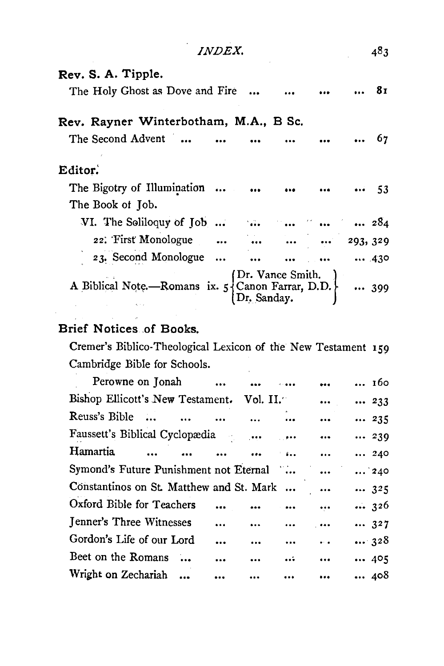| <i>INDEX.</i>                                                                                                                    |             |                 |             | 483 |
|----------------------------------------------------------------------------------------------------------------------------------|-------------|-----------------|-------------|-----|
| Rev. S. A. Tipple.                                                                                                               |             |                 |             |     |
| The Holy Ghost as Dove and Fire                                                                                                  |             |                 |             | 81  |
| Rev. Rayner Winterbotham, M.A., B Sc.                                                                                            |             |                 |             |     |
| The Second Advent                                                                                                                |             |                 |             | 67  |
| Editor.<br>The Bigotry of Illumination                                                                                           |             |                 | $\cdots$ 53 |     |
| The Book of Job.                                                                                                                 |             |                 |             |     |
| VI. The Soliloquy of Job       284                                                                                               |             |                 |             |     |
| 22. First Monologue     293, 329                                                                                                 |             |                 |             |     |
| 23. Second Monologue                                                                                                             |             | $ \t \t \t 430$ |             |     |
| A Biblical Note.—Romans ix. $5\begin{cases}$ Dr. Vance Smith.<br>A Biblical Note.—Romans ix. $5\begin{cases}$ Canon Farrar, D.D. | Dr. Sanday. |                 |             | 399 |

## Brief Notices of Books.

Cremer's Biblico-Theological Lexicon of the New Testament 159 Cambridge Bible for Schools.

| Perowne on Jonah                                        |           |          |           |           | 160          |
|---------------------------------------------------------|-----------|----------|-----------|-----------|--------------|
| Bishop Ellicott's New Testament. Vol. II.               |           |          |           | $\cdots$  | 233          |
| Reuss's Bible                                           |           |          | $\cdots$  | $\ddotsc$ | 235          |
| Faussett's Biblical Cyclopædia                          |           |          |           | $\cdots$  | 239          |
| Hamartia.<br>$\overline{a}$<br>$\overline{\phantom{a}}$ |           | $\cdots$ | 1.311     | $\cdots$  | 240          |
| Symond's Future Punishment not Eternal                  |           |          |           |           | $\ldots$ 240 |
| Constantinos on St. Matthew and St. Mark                |           |          |           |           | 325          |
| Oxford Bible for Teachers                               | $\cdots$  |          |           | $\ldots$  | $\cdots$ 326 |
| Jenner's Three Witnesses                                | $\ddotsc$ | $\cdots$ |           | $\cdots$  | 327          |
| Gordon's Life of our Lord                               | $\ddotsc$ | $\cdots$ | $\ddotsc$ | $\ddotsc$ | 328          |
| Beet on the Romans                                      |           | $\cdots$ | $\cdots$  | $\cdots$  | 405          |
| Wright on Zechariah                                     |           |          | $\cdots$  | $\cdots$  | 408          |